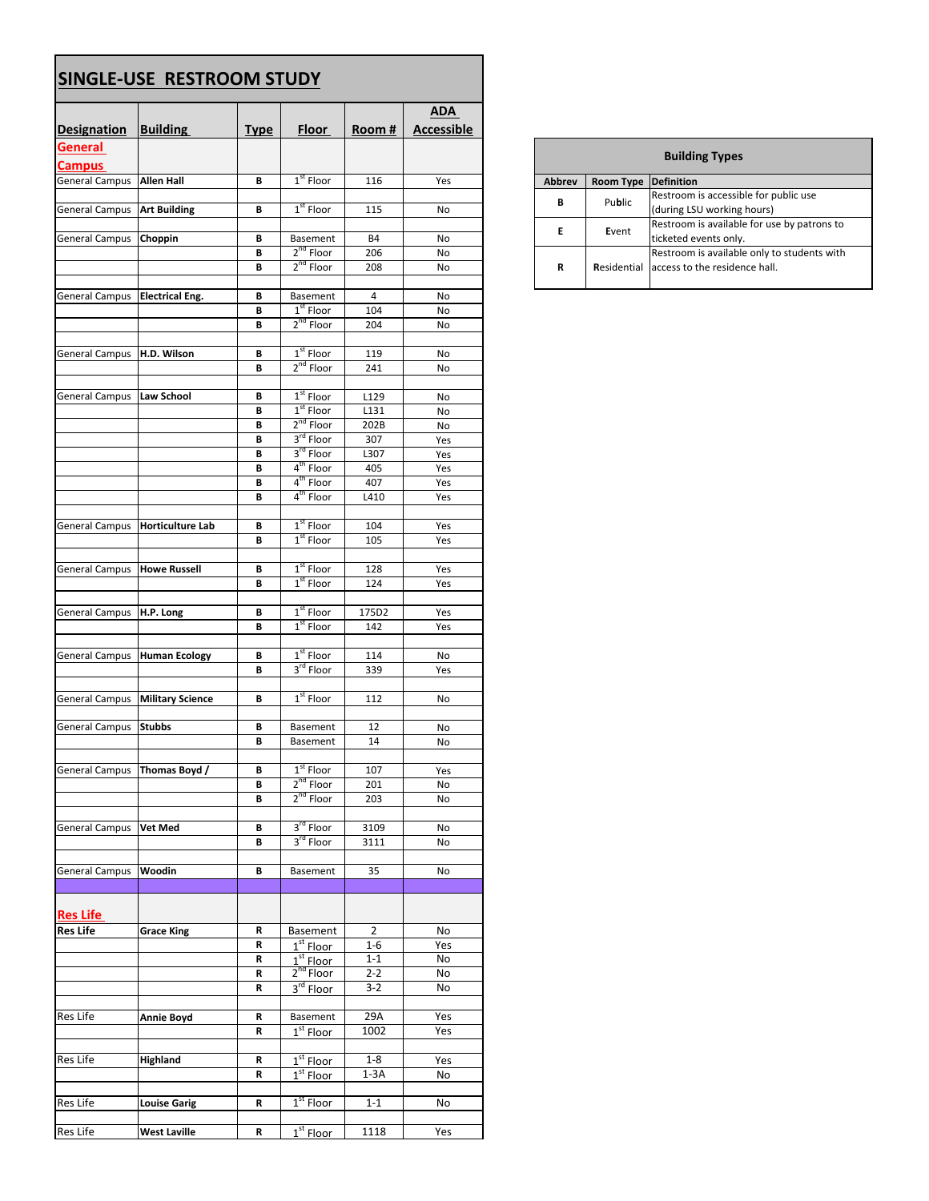## **SINGLE‐USE RESTROOM STUDY**

|                                        |                         |             |                                                |                    | <b>ADA</b> |
|----------------------------------------|-------------------------|-------------|------------------------------------------------|--------------------|------------|
| <b>Designation</b>                     | <b>Building</b>         | <b>Type</b> | <b>Floor</b>                                   | Room #             | Accessible |
| General                                |                         |             |                                                |                    |            |
| <u>Campus</u><br><b>General Campus</b> | <b>Allen Hall</b>       | В           | $1st$ Floor                                    | 116                |            |
|                                        |                         |             |                                                |                    | Yes        |
| <b>General Campus</b>                  | <b>Art Building</b>     | В           | $1st$ Floor                                    | 115                | No         |
|                                        |                         |             |                                                |                    |            |
| <b>General Campus</b>                  | Choppin                 | В<br>В      | Basement<br>2 <sup>nd</sup> Floor              | <b>B4</b><br>206   | No         |
|                                        |                         | В           | 2 <sup>nd</sup> Floor                          | 208                | No<br>No   |
|                                        |                         |             |                                                |                    |            |
| General Campus                         | <b>Electrical Eng.</b>  | В           | Basement                                       | 4                  | No         |
|                                        |                         | В           | $1st$ Floor<br>2 <sup>nd</sup> Floor           | 104                | No         |
|                                        |                         | В           |                                                | 204                | No         |
| General Campus                         | H.D. Wilson             | В           | $1st$ Floor                                    | 119                | No         |
|                                        |                         | B           | 2 <sup>nd</sup> Floor                          | 241                | No         |
|                                        |                         |             |                                                |                    |            |
| General Campus                         | <b>Law School</b>       | В<br>B      | $1st$ Floor<br>$1st$ Floor                     | L129<br>L131       | No         |
|                                        |                         | В           | 2 <sup>nd</sup> Floor                          | 202B               | No<br>No   |
|                                        |                         | B           | 3 <sup>rd</sup> Floor                          | 307                | Yes        |
|                                        |                         | В           | 3 <sup>rd</sup> Floor                          | L307               | Yes        |
|                                        |                         | В           | 4 <sup>th</sup> Floor                          | 405                | Yes        |
|                                        |                         | В<br>В      | 4 <sup>th</sup> Floor<br>4 <sup>th</sup> Floor | 407<br>L410        | Yes<br>Yes |
|                                        |                         |             |                                                |                    |            |
| General Campus                         | <b>Horticulture Lab</b> | В           | $1st$ Floor                                    | 104                | Yes        |
|                                        |                         | В           | $1st$ Floor                                    | 105                | Yes        |
|                                        |                         |             |                                                |                    |            |
| <b>General Campus</b>                  | <b>Howe Russell</b>     | В<br>В      | $1st$ Floor<br>$1st$ Floor                     | 128<br>124         | Yes<br>Yes |
|                                        |                         |             |                                                |                    |            |
| General Campus                         | H.P. Long               | В           | $1st$ Floor                                    | 175D2              | Yes        |
|                                        |                         | В           | $1st$ Floor                                    | 142                | Yes        |
|                                        |                         |             | $1st$ Floor                                    |                    |            |
| General Campus                         | <b>Human Ecology</b>    | В<br>В      | 3 <sup>rd</sup> Floor                          | 114<br>339         | No<br>Yes  |
|                                        |                         |             |                                                |                    |            |
| General Campus                         | <b>Military Science</b> | В           | $1st$ Floor                                    | 112                | No         |
|                                        |                         |             |                                                |                    |            |
| <b>General Campus</b>                  | Stubbs                  | В<br>в      | Basement<br>Basement                           | 12<br>14           | No<br>No   |
|                                        |                         |             |                                                |                    |            |
| General Campus Thomas Boyd /           |                         | В           | $1st$ Floor                                    | 107                | Yes        |
|                                        |                         | В           | $2^{nd}$ Floor                                 | 201                | No         |
|                                        |                         | B           | 2 <sup>nd</sup> Floor                          | 203                | No         |
| General Campus                         | Vet Med                 | В           | 3 <sup>rd</sup> Floor                          | 3109               | No         |
|                                        |                         | В           | 3 <sup>rd</sup> Floor                          | 3111               | No         |
|                                        |                         |             |                                                |                    |            |
| <b>General Campus</b>                  | Woodin                  | В           | Basement                                       | 35                 | No         |
|                                        |                         |             |                                                |                    |            |
| Res Life                               |                         |             |                                                |                    |            |
| Res Life                               | <b>Grace King</b>       | R           | Basement                                       | 2                  | No         |
|                                        |                         | R           | $1st$ Floor                                    | $1 - 6$            | Yes        |
|                                        |                         | R           | 1 <sup>st</sup> Floor<br>2 <sup>nd</sup> Floor | $1 - 1$            | No         |
|                                        |                         | R<br>R      | $3rd$ Floor                                    | $2 - 2$<br>$3 - 2$ | No<br>No   |
|                                        |                         |             |                                                |                    |            |
| Res Life                               | Annie Boyd              | R           | Basement                                       | 29A                | Yes        |
|                                        |                         | R           | $1st$ Floor                                    | 1002               | Yes        |
|                                        |                         |             |                                                |                    |            |
| Res Life                               | Highland                | R<br>R      | $1st$ Floor<br>$1st$ Floor                     | $1 - 8$<br>$1-3A$  | Yes<br>No  |
|                                        |                         |             |                                                |                    |            |
| Res Life                               | <b>Louise Garig</b>     | R           | $1st$ Floor                                    | $1 - 1$            | No         |
|                                        |                         |             |                                                |                    |            |
| Res Life                               | West Laville            | R           | $1st$ Floor                                    | 1118               | Yes        |

| <b>Building Types</b> |                  |                                             |  |  |
|-----------------------|------------------|---------------------------------------------|--|--|
| Abbrev                | <b>Room Type</b> | <b>Definition</b>                           |  |  |
| в                     | <b>Public</b>    | Restroom is accessible for public use       |  |  |
|                       |                  | (during LSU working hours)                  |  |  |
| E                     | Event            | Restroom is available for use by patrons to |  |  |
|                       |                  | ticketed events only.                       |  |  |
| R                     | Residential      | Restroom is available only to students with |  |  |
|                       |                  | access to the residence hall.               |  |  |
|                       |                  |                                             |  |  |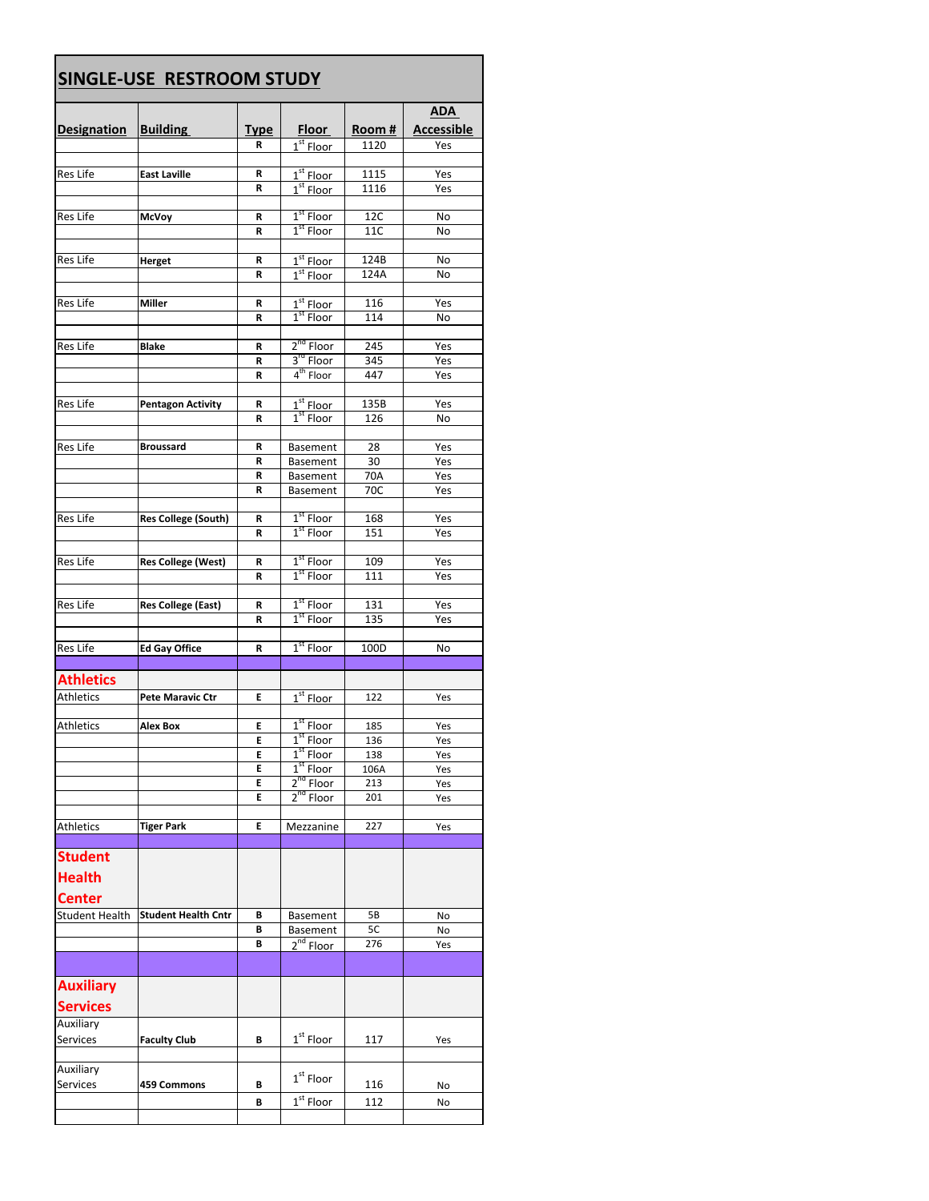## **SINGLE‐USE RESTROOM STUDY**

| <b>Designation</b>    | <b>Building</b>            |                  | <b>Floor</b>                               | Room #           | <b>ADA</b><br><b>Accessible</b> |
|-----------------------|----------------------------|------------------|--------------------------------------------|------------------|---------------------------------|
|                       |                            | <b>Type</b><br>R | $1st$ Floor                                | 1120             | Yes                             |
|                       |                            |                  |                                            |                  |                                 |
| Res Life              | <b>East Laville</b>        | R                | $\frac{1}{1^{st}}$ Floor<br>$1^{st}$ Floor | 1115             | Yes                             |
|                       |                            | R                |                                            | 1116             | Yes                             |
| Res Life              | <b>McVoy</b>               | R                | 1 <sup>st</sup> Floor                      | 12C              | No                              |
|                       |                            | R                | $1st$ Floor                                | 11C              | <b>No</b>                       |
|                       |                            |                  |                                            |                  |                                 |
| Res Life              | <b>Herget</b>              | R                | $1st$ Floor                                | 124B             | No                              |
|                       |                            | R                | $1st$ Floor                                | 124A             | No                              |
|                       |                            |                  |                                            |                  |                                 |
| Res Life              | Miller                     | R<br>R           | $\frac{1}{1^{st}}$ Floor<br>$1^{st}$ Floor | 116<br>114       | Yes<br>No                       |
|                       |                            |                  |                                            |                  |                                 |
| Res Life              | Blake                      | R                | $2na$ Floor                                | 245              | Yes                             |
|                       |                            | R                | 3 <sup>rd</sup> Floor                      | 345              | Yes                             |
|                       |                            | R                | 4 <sup>th</sup> Floor                      | 447              | Yes                             |
| Res Life              | <b>Pentagon Activity</b>   | R                |                                            | 135B             | Yes                             |
|                       |                            | R                | $\frac{1}{1^{st}}$ Floor<br>$1^{st}$ Floor | 126              | <b>No</b>                       |
|                       |                            |                  |                                            |                  |                                 |
| Res Life              | <b>Broussard</b>           | R                | Basement                                   | 28               | Yes                             |
|                       |                            | R                | Basement                                   | 30               | Yes                             |
|                       |                            | R                | <b>Basement</b>                            | 70A              | Yes                             |
|                       |                            | R                | Basement                                   | 70C              | Yes                             |
| Res Life              | <b>Res College (South)</b> | R                | $1st$ Floor                                | 168              | Yes                             |
|                       |                            | R                | $1st$ Floor                                | 151              | Yes                             |
|                       |                            |                  |                                            |                  |                                 |
| Res Life              | <b>Res College (West)</b>  | R                | $1st$ Floor<br>$1st$ Floor                 | 109              | Yes                             |
|                       |                            | R                |                                            | 111              | Yes                             |
| Res Life              | <b>Res College (East)</b>  | R                | $1st$ Floor                                | 131              | Yes                             |
|                       |                            | R                | $1st$ Floor                                | $\overline{135}$ | Yes                             |
|                       |                            |                  |                                            |                  |                                 |
| Res Life              | <b>Ed Gay Office</b>       | R                | $1st$ Floor                                | 100D             | No                              |
| <b>Athletics</b>      |                            |                  |                                            |                  |                                 |
| <b>Athletics</b>      | Pete Maravic Ctr           | Е                | $1st$ Floor                                | 122              |                                 |
|                       |                            |                  |                                            |                  | Yes                             |
| Athletics             | <b>Alex Box</b>            | E                | $1st$ Floor                                | 185              | Yes                             |
|                       |                            | E                | $1st$ Floor                                | 136              | Yes                             |
|                       |                            | E                | $1st$ Floor                                | 138              | Yes                             |
|                       |                            | E<br>E           | $1st$ Floor<br>2 <sup>nd</sup> Floor       | 106A<br>213      | Yes<br>Yes                      |
|                       |                            | E                | 2 <sup>na</sup> Floor                      | 201              | Yes                             |
|                       |                            |                  |                                            |                  |                                 |
| Athletics             | <b>Tiger Park</b>          | E                | Mezzanine                                  | 227              | Yes                             |
|                       |                            |                  |                                            |                  |                                 |
| <b>Student</b>        |                            |                  |                                            |                  |                                 |
| <b>Health</b>         |                            |                  |                                            |                  |                                 |
| Center                |                            |                  |                                            |                  |                                 |
| <b>Student Health</b> | <b>Student Health Cntr</b> | В                | <b>Basement</b>                            | 5B               | No                              |
|                       |                            | В                | Basement                                   | 5C               | No                              |
|                       |                            | В                | $2nd$ Floor                                | 276              | Yes                             |
|                       |                            |                  |                                            |                  |                                 |
| <b>Auxiliary</b>      |                            |                  |                                            |                  |                                 |
| <b>Services</b>       |                            |                  |                                            |                  |                                 |
| Auxiliary             |                            |                  |                                            |                  |                                 |
| Services              | <b>Faculty Club</b>        | В                | $1st$ Floor                                | 117              | Yes                             |
|                       |                            |                  |                                            |                  |                                 |
| Auxiliary             |                            |                  | $1st$ Floor                                |                  |                                 |
| Services              | 459 Commons                | В                | $1st$ Floor                                | 116              | No                              |
|                       |                            | В                |                                            | 112              | No                              |
|                       |                            |                  |                                            |                  |                                 |